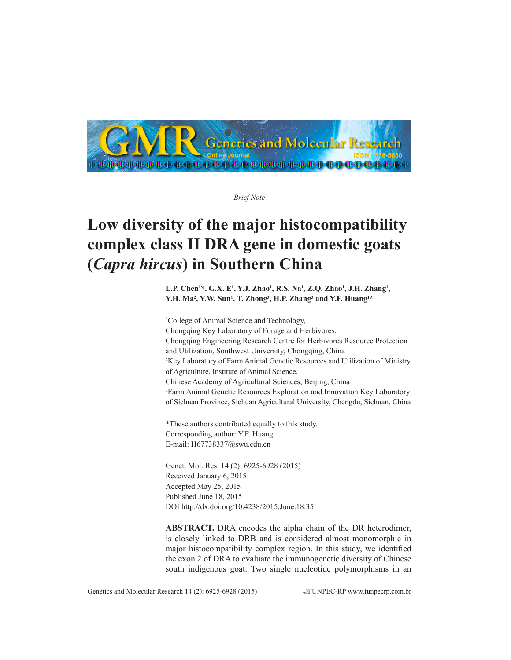

*Brief Note*

## **Low diversity of the major histocompatibility complex class II DRA gene in domestic goats (***Capra hircus***) in Southern China**

L.P. Chen<sup>1\*</sup>, G.X. E<sup>1</sup>, Y.J. Zhao<sup>1</sup>, R.S. Na<sup>1</sup>, Z.Q. Zhao<sup>1</sup>, J.H. Zhang<sup>1</sup>, **Y.H. Ma2 , Y.W. Sun1 , T. Zhong3 , H.P. Zhang3 and Y.F. Huang1 \***

1 College of Animal Science and Technology, Chongqing Key Laboratory of Forage and Herbivores, Chongqing Engineering Research Centre for Herbivores Resource Protection and Utilization, Southwest University, Chongqing, China 2 Key Laboratory of Farm Animal Genetic Resources and Utilization of Ministry of Agriculture, Institute of Animal Science, Chinese Academy of Agricultural Sciences, Beijing, China 3 Farm Animal Genetic Resources Exploration and Innovation Key Laboratory of Sichuan Province, Sichuan Agricultural University, Chengdu, Sichuan, China

\*These authors contributed equally to this study. Corresponding author: Y.F. Huang E-mail: H67738337@swu.edu.cn

Genet. Mol. Res. 14 (2): 6925-6928 (2015) Received January 6, 2015 Accepted May 25, 2015 Published June 18, 2015 DOI http://dx.doi.org/10.4238/2015.June.18.35

**ABSTRACT.** DRA encodes the alpha chain of the DR heterodimer, is closely linked to DRB and is considered almost monomorphic in major histocompatibility complex region. In this study, we identified the exon 2 of DRA to evaluate the immunogenetic diversity of Chinese south indigenous goat. Two single nucleotide polymorphisms in an

Genetics and Molecular Research 14 (2): 6925-6928 (2015) ©FUNPEC-RP www.funpecrp.com.br